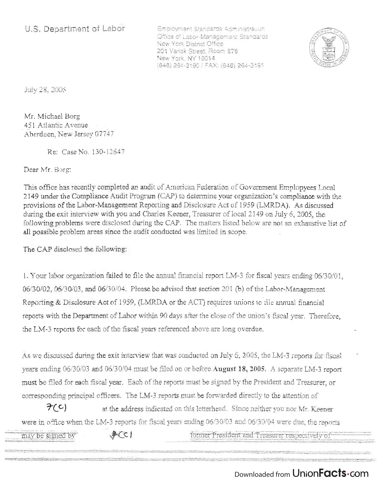Employment Standards Administration Office of Labor-Management Standaros New York District Office 201 Varick Street, Room 878 New York. NY 10014 (646) 264-31 90/ FAX (646) 264-3191



July 28, 2005

Mr, Michael Borg 451 Atlantic Avenue Aberdeen, New Jersey 07747

Re: Case No. 130-12647

Dear Mr. Borg:

"'W~!1lI'l"'>f;"' ~~"'-""'~Ji'fo'''~.-;\!!rl~'\_''='':'''!'.':..''·

This office has recently completed an audit of American Federation of Government Emplopyees Local 2149 under the Compliance Audit Program (CAP) to determine your organization's compliance with the provisions of the Labor-Management Reporting and Disclosure Act of 1959 (LMRDA). As discussed during the exit interview with you and Charles Keener, Treasurer of local 2149 on July 6, 2005, the following problems were disclosed during the CAP. The matters listed below are not an exhaustive list of all possible problem areas since the audit conducted was limited in scope.

The CAP disclosed the following:

1. Your labor organization failed to file the annual financial report LM -3 for fiscal years ending 06/30/01, 06/30/02,06/30/03, and 06/30/04. Please be advised that section 201 (b) of the Labor-Management Reporting & Disclosure Act of 1959, (LMRDA or the ACT) requires unions to file annual financial reports with the Department of Labor within 90 days after the close of the union's fiscal year. Therefore, the LM-3 reports for each of the fiscal years referenced above are long overdue.

As we discussed during the exit interview that was conducted on July 6,2005, the LM-3 reports for fiscal years ending 06/30/03 and 06/30/04 must be filed on or before August 18, 2005. A separate LM-3 report must be filed for each fiscal year. Each of the reports must be signed by the President and Treasurer, or corresponding principal officers. The LM-3 reports must be forwarded directly to the attention of

 $7(c)$ at the address indicated on this letterhead. Since neither you nor *Mr.* Keener were in office when the LM-3 reports for fiscal years ending 06/30/03 and 06/30/04 were due, the reports<br>- '' **ACC** former President and Treasurer respectively of may be signed by

"'"' .•••.• -- ~\_· \_\_ """~~-.<t';"-<!!'.!·J:!.'J>'!".\_.,.,~!~~ .. ....,,)~~·,..,':"~ .. '·\_""'~'l"j.\~!·t~,:l .. ~;ko!.;""-... ::~'!. .. ,~~':~i";,.\_-='!-~~,.,!..~~I • .,,··""'J!!,O: •• ,,.-.:,~·.+\_"'.;;:'~~.~.";:''''''''--'''''-=''"". "",.""" ",''',"'''i''''''''~'''~~'-''-o.,;;o>·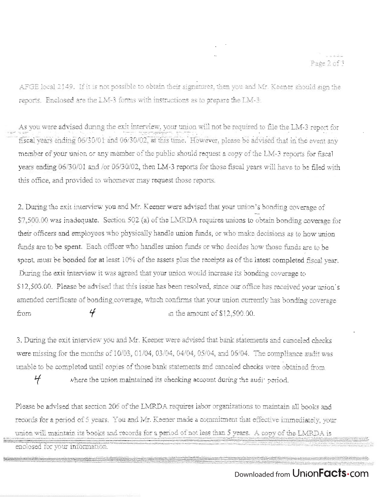AFGE local 2149. If it is not possible to obtain their signatures, then you and Mr. Keener should sign the reports. Enclosed are the LM-3 forms with instructions as to prepare the LM-3.

As you were advised during the exit interview, your union will not be required to file the LM-3 report for fiscal vears ending 06/30/01 and 06/30/02, at this time. However, please be advised that in the event any member of your union or any member of the public should request a copy of the LM-3 reports for fiscal years ending *06/30/01* and *lor 06/30102,* then LM-3 reports for those fiscal years will have to be filed with this office, and provided to whomever may request those reports.

2. During the exit interview you and Mr. Keener were advised that your union's bonding coverage of \$7,500.00 was inadequate. Section 502 (a) of the LMRDA requires unions to obtain bonding coverage for their officers and employees who physically handle union funds, or who make decisions as to how union funds are to be spent. Each officer who handles union funds or who decides how those funds are to be spent, must be bonded for at least 10% of the assets plus the receipts as of the latest completed fiscal year. During the exit interview it was agreed that your union would increase its bonding coverage to \$12,500.00. Please be advised that this issue has been resolved, since our office has received your union's amended certificate of bonding coverage, which confirms that your union currently has bonding coverage from  $\frac{4}{7}$  m the amount of \$12,500.00.

3. During the exit interview you and Mr. Keener were advised that bank: statements and canceled checks were missing for the months of 10/03, 01/04, 03/04, 04/04, 05/04, and 06/04. The compliance audit was unable to be completed until copies of those bank statements and canceled checks were obtained from

 $H$  where the union maintained its checking account during the audit period.

Please be advised that section 206 of the LMRDA requires labor organizations to maintain all books and records for a period of 5 years. You and *NIr.* Keener made a commitment that effective immediately, your union will maintain its books and records for a period of not less than 5 years. A copy of the LMRDA is

enclosed for your information

,';;~c~~~"'-3~~  $=$   $\frac{1}{2}$   $\frac{1}{2}$   $\frac{1}{2}$   $\frac{1}{2}$   $\frac{1}{2}$   $\frac{1}{2}$   $\frac{1}{2}$   $\frac{1}{2}$   $\frac{1}{2}$   $\frac{1}{2}$   $\frac{1}{2}$   $\frac{1}{2}$ 

 $\sim$  , we proceed convertible, at the statement <sup>~</sup>**,.** ~ **- :.". :.** 

 $\sim_{\rm e}$  .  $\sim -2$  .